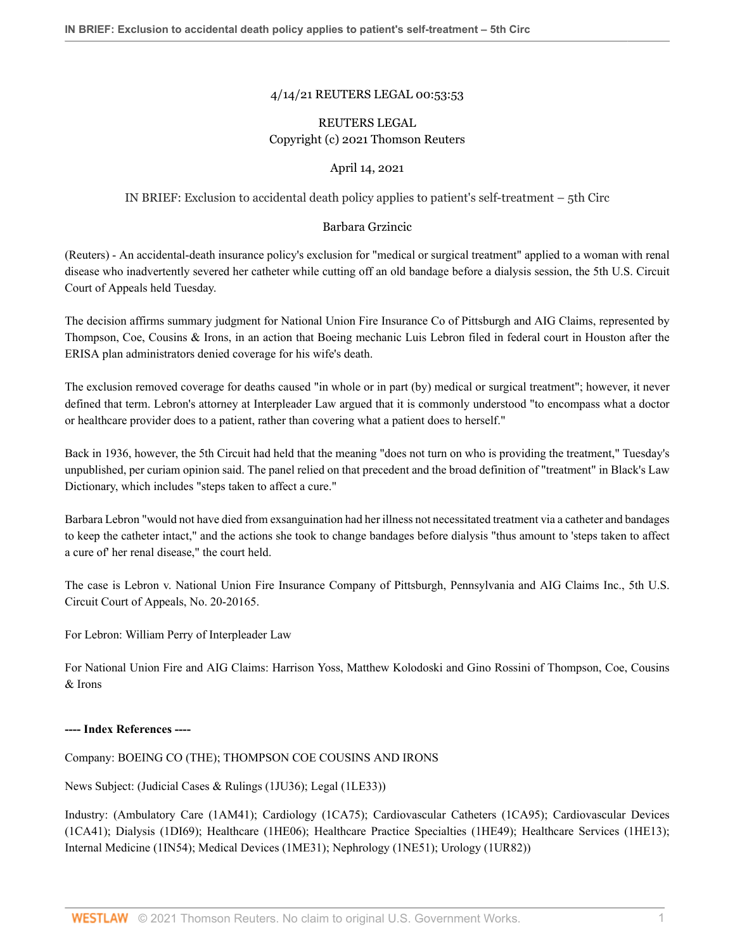# 4/14/21 REUTERS LEGAL 00:53:53

# REUTERS LEGAL Copyright (c) 2021 Thomson Reuters

### April 14, 2021

# IN BRIEF: Exclusion to accidental death policy applies to patient's self-treatment – 5th Circ

#### Barbara Grzincic

(Reuters) - An accidental-death insurance policy's exclusion for "medical or surgical treatment" applied to a woman with renal disease who inadvertently severed her catheter while cutting off an old bandage before a dialysis session, the 5th U.S. Circuit Court of Appeals held Tuesday.

The decision affirms summary judgment for National Union Fire Insurance Co of Pittsburgh and AIG Claims, represented by Thompson, Coe, Cousins & Irons, in an action that Boeing mechanic Luis Lebron filed in federal court in Houston after the ERISA plan administrators denied coverage for his wife's death.

The exclusion removed coverage for deaths caused "in whole or in part (by) medical or surgical treatment"; however, it never defined that term. Lebron's attorney at Interpleader Law argued that it is commonly understood "to encompass what a doctor or healthcare provider does to a patient, rather than covering what a patient does to herself."

Back in 1936, however, the 5th Circuit had held that the meaning "does not turn on who is providing the treatment," Tuesday's unpublished, per curiam opinion said. The panel relied on that precedent and the broad definition of "treatment" in Black's Law Dictionary, which includes "steps taken to affect a cure."

Barbara Lebron "would not have died from exsanguination had her illness not necessitated treatment via a catheter and bandages to keep the catheter intact," and the actions she took to change bandages before dialysis "thus amount to 'steps taken to affect a cure of' her renal disease," the court held.

The case is Lebron v. National Union Fire Insurance Company of Pittsburgh, Pennsylvania and AIG Claims Inc., 5th U.S. Circuit Court of Appeals, No. 20-20165.

For Lebron: William Perry of Interpleader Law

For National Union Fire and AIG Claims: Harrison Yoss, Matthew Kolodoski and Gino Rossini of Thompson, Coe, Cousins & Irons

#### **---- Index References ----**

Company: BOEING CO (THE); THOMPSON COE COUSINS AND IRONS

News Subject: (Judicial Cases & Rulings (1JU36); Legal (1LE33))

Industry: (Ambulatory Care (1AM41); Cardiology (1CA75); Cardiovascular Catheters (1CA95); Cardiovascular Devices (1CA41); Dialysis (1DI69); Healthcare (1HE06); Healthcare Practice Specialties (1HE49); Healthcare Services (1HE13); Internal Medicine (1IN54); Medical Devices (1ME31); Nephrology (1NE51); Urology (1UR82))